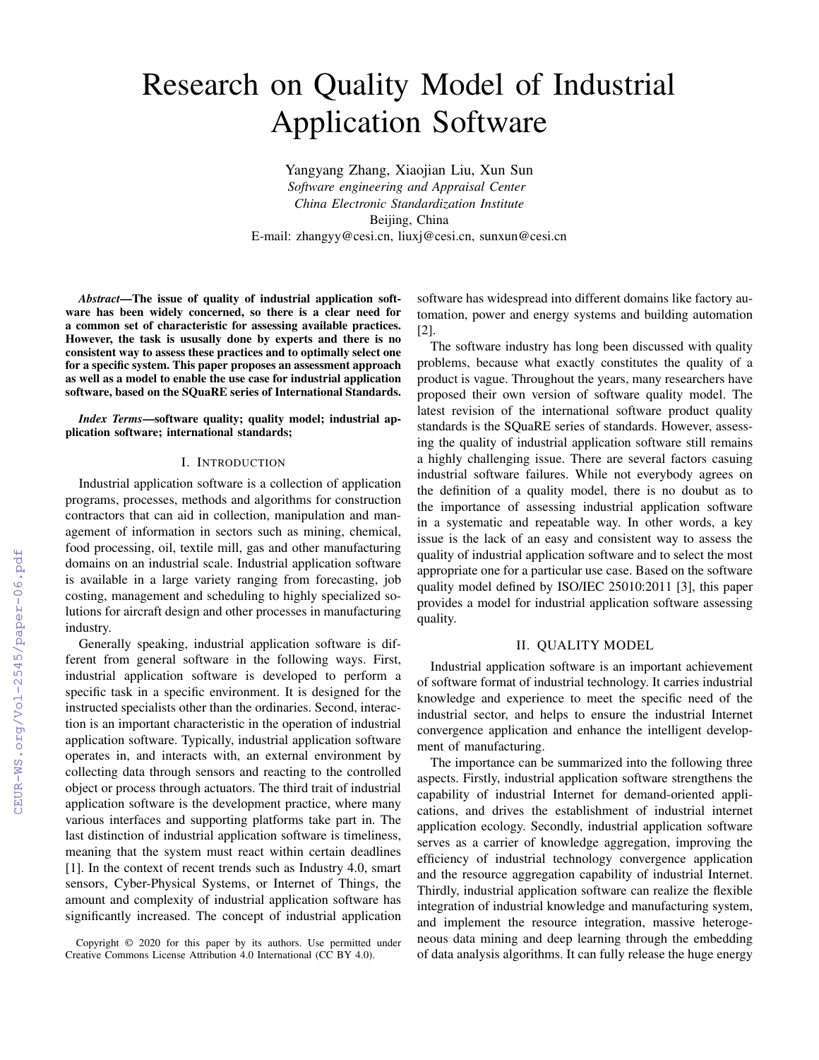# Research on Quality Model of Industrial Application Software

Yangyang Zhang, Xiaojian Liu, Xun Sun *Software engineering and Appraisal Center China Electronic Standardization Institute* Beijing, China E-mail: zhangyy@cesi.cn, liuxj@cesi.cn, sunxun@cesi.cn

*Abstract*—The issue of quality of industrial application software has been widely concerned, so there is a clear need for a common set of characteristic for assessing available practices. However, the task is ususally done by experts and there is no consistent way to assess these practices and to optimally select one for a specific system. This paper proposes an assessment approach as well as a model to enable the use case for industrial application software, based on the SQuaRE series of International Standards.

*Index Terms*—software quality; quality model; industrial application software; international standards;

#### I. INTRODUCTION

Industrial application software is a collection of application programs, processes, methods and algorithms for construction contractors that can aid in collection, manipulation and management of information in sectors such as mining, chemical, food processing, oil, textile mill, gas and other manufacturing domains on an industrial scale. Industrial application software is available in a large variety ranging from forecasting, job costing, management and scheduling to highly specialized solutions for aircraft design and other processes in manufacturing industry.

Generally speaking, industrial application software is different from general software in the following ways. First, industrial application software is developed to perform a specific task in a specific environment. It is designed for the instructed specialists other than the ordinaries. Second, interaction is an important characteristic in the operation of industrial application software. Typically, industrial application software operates in, and interacts with, an external environment by collecting data through sensors and reacting to the controlled object or process through actuators. The third trait of industrial application software is the development practice, where many various interfaces and supporting platforms take part in. The last distinction of industrial application software is timeliness, meaning that the system must react within certain deadlines [1]. In the context of recent trends such as Industry 4.0, smart sensors, Cyber-Physical Systems, or Internet of Things, the amount and complexity of industrial application software has significantly increased. The concept of industrial application

software has widespread into different domains like factory automation, power and energy systems and building automation [2].

The software industry has long been discussed with quality problems, because what exactly constitutes the quality of a product is vague. Throughout the years, many researchers have proposed their own version of software quality model. The latest revision of the international software product quality standards is the SQuaRE series of standards. However, assessing the quality of industrial application software still remains a highly challenging issue. There are several factors casuing industrial software failures. While not everybody agrees on the definition of a quality model, there is no doubut as to the importance of assessing industrial application software in a systematic and repeatable way. In other words, a key issue is the lack of an easy and consistent way to assess the quality of industrial application software and to select the most appropriate one for a particular use case. Based on the software quality model defined by ISO/IEC 25010:2011 [3], this paper provides a model for industrial application software assessing quality.

## II. QUALITY MODEL

Industrial application software is an important achievement of software format of industrial technology. It carries industrial knowledge and experience to meet the specific need of the industrial sector, and helps to ensure the industrial Internet convergence application and enhance the intelligent development of manufacturing.

The importance can be summarized into the following three aspects. Firstly, industrial application software strengthens the capability of industrial Internet for demand-oriented applications, and drives the establishment of industrial internet application ecology. Secondly, industrial application software serves as a carrier of knowledge aggregation, improving the efficiency of industrial technology convergence application and the resource aggregation capability of industrial Internet. Thirdly, industrial application software can realize the flexible integration of industrial knowledge and manufacturing system, and implement the resource integration, massive heterogeneous data mining and deep learning through the embedding of data analysis algorithms. It can fully release the huge energy

Copyright © 2020 for this paper by its authors. Use permitted under Creative Commons License Attribution 4.0 International (CC BY 4.0).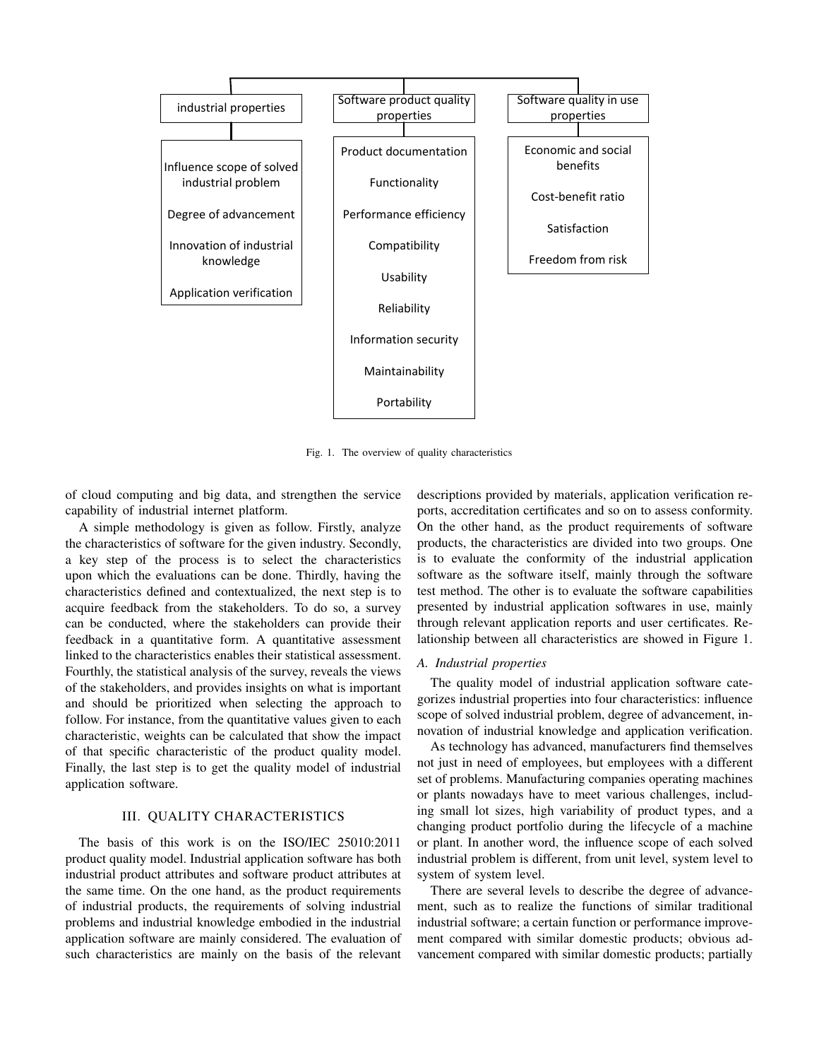

Fig. 1. The overview of quality characteristics

of cloud computing and big data, and strengthen the service capability of industrial internet platform.

A simple methodology is given as follow. Firstly, analyze the characteristics of software for the given industry. Secondly, a key step of the process is to select the characteristics upon which the evaluations can be done. Thirdly, having the characteristics defined and contextualized, the next step is to acquire feedback from the stakeholders. To do so, a survey can be conducted, where the stakeholders can provide their feedback in a quantitative form. A quantitative assessment linked to the characteristics enables their statistical assessment. Fourthly, the statistical analysis of the survey, reveals the views of the stakeholders, and provides insights on what is important and should be prioritized when selecting the approach to follow. For instance, from the quantitative values given to each characteristic, weights can be calculated that show the impact of that specific characteristic of the product quality model. Finally, the last step is to get the quality model of industrial application software.

# III. QUALITY CHARACTERISTICS

The basis of this work is on the ISO/IEC 25010:2011 product quality model. Industrial application software has both industrial product attributes and software product attributes at the same time. On the one hand, as the product requirements of industrial products, the requirements of solving industrial problems and industrial knowledge embodied in the industrial application software are mainly considered. The evaluation of such characteristics are mainly on the basis of the relevant descriptions provided by materials, application verification reports, accreditation certificates and so on to assess conformity. On the other hand, as the product requirements of software products, the characteristics are divided into two groups. One is to evaluate the conformity of the industrial application software as the software itself, mainly through the software test method. The other is to evaluate the software capabilities presented by industrial application softwares in use, mainly through relevant application reports and user certificates. Relationship between all characteristics are showed in Figure 1.

#### *A. Industrial properties*

The quality model of industrial application software categorizes industrial properties into four characteristics: influence scope of solved industrial problem, degree of advancement, innovation of industrial knowledge and application verification.

As technology has advanced, manufacturers find themselves not just in need of employees, but employees with a different set of problems. Manufacturing companies operating machines or plants nowadays have to meet various challenges, including small lot sizes, high variability of product types, and a changing product portfolio during the lifecycle of a machine or plant. In another word, the influence scope of each solved industrial problem is different, from unit level, system level to system of system level.

There are several levels to describe the degree of advancement, such as to realize the functions of similar traditional industrial software; a certain function or performance improvement compared with similar domestic products; obvious advancement compared with similar domestic products; partially